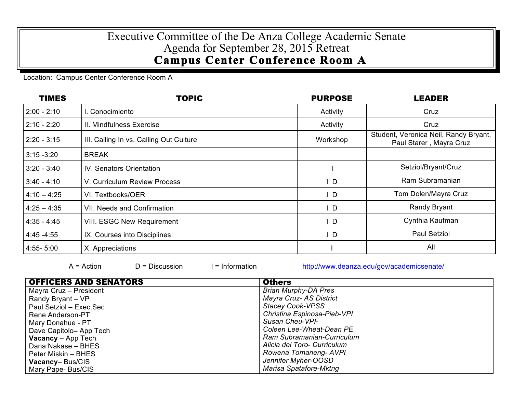## Executive Committee of the De Anza College Academic Senate Agenda for September 28, 2015 Retreat  **Campus Center Conference Room A**

Location: Campus Center Conference Room A

| <b>TIMES</b>  | <b>TOPIC</b>                            | <b>PURPOSE</b> | <b>LEADER</b>                                                    |
|---------------|-----------------------------------------|----------------|------------------------------------------------------------------|
| $2:00 - 2:10$ | I. Conocimiento                         | Activity       | Cruz                                                             |
| $2:10 - 2:20$ | II. Mindfulness Exercise                | Activity       | Cruz                                                             |
| $2:20 - 3:15$ | III. Calling In vs. Calling Out Culture | Workshop       | Student, Veronica Neil, Randy Bryant,<br>Paul Starer, Mayra Cruz |
| $3:15 - 3:20$ | <b>BREAK</b>                            |                |                                                                  |
| $3:20 - 3:40$ | <b>IV. Senators Orientation</b>         |                | Setziol/Bryant/Cruz                                              |
| $3:40 - 4:10$ | V. Curriculum Review Process            | $\mathsf{L}$   | Ram Subramanian                                                  |
| $4:10 - 4:25$ | VI. Textbooks/OER                       | $\mathsf{I}$ D | Tom Dolen/Mayra Cruz                                             |
| $4:25 - 4:35$ | <b>VII. Needs and Confirmation</b>      | $\mathsf{L}$   | Randy Bryant                                                     |
| $4:35 - 4:45$ | <b>VIII. ESGC New Requirement</b>       | $\mathsf{L}$   | Cynthia Kaufman                                                  |
| $4:45 - 4:55$ | IX. Courses into Disciplines            | $\mathsf{I}$ D | <b>Paul Setziol</b>                                              |
| $4:55 - 5:00$ | X. Appreciations                        |                | All                                                              |

 $A = Action$  D = Discussion I = Information http://www.deanza.edu/gov/academicsenate/

| <b>OFFICERS AND SENATORS</b> | <b>Others</b>               |
|------------------------------|-----------------------------|
| Mayra Cruz - President       | <b>Brian Murphy-DA Pres</b> |
| Randy Bryant - VP            | Mayra Cruz- AS District     |
| Paul Setziol - Exec.Sec      | <b>Stacey Cook-VPSS</b>     |
| Rene Anderson-PT             | Christina Espinosa-Pieb-VPI |
| Mary Donahue - PT            | Susan Cheu-VPF              |
| Dave Capitolo- App Tech      | Coleen Lee-Wheat-Dean PE    |
| $\sqrt{Vacancy - App Tech}$  | Ram Subramanian-Curriculum  |
| Dana Nakase – BHES           | Alicia del Toro- Curriculum |
| Peter Miskin - BHES          | Rowena Tomaneng-AVPI        |
| Vacancy-Bus/CIS              | Jennifer Myher-OOSD         |
| Mary Pape- Bus/CIS           | Marisa Spatafore-Mktng      |